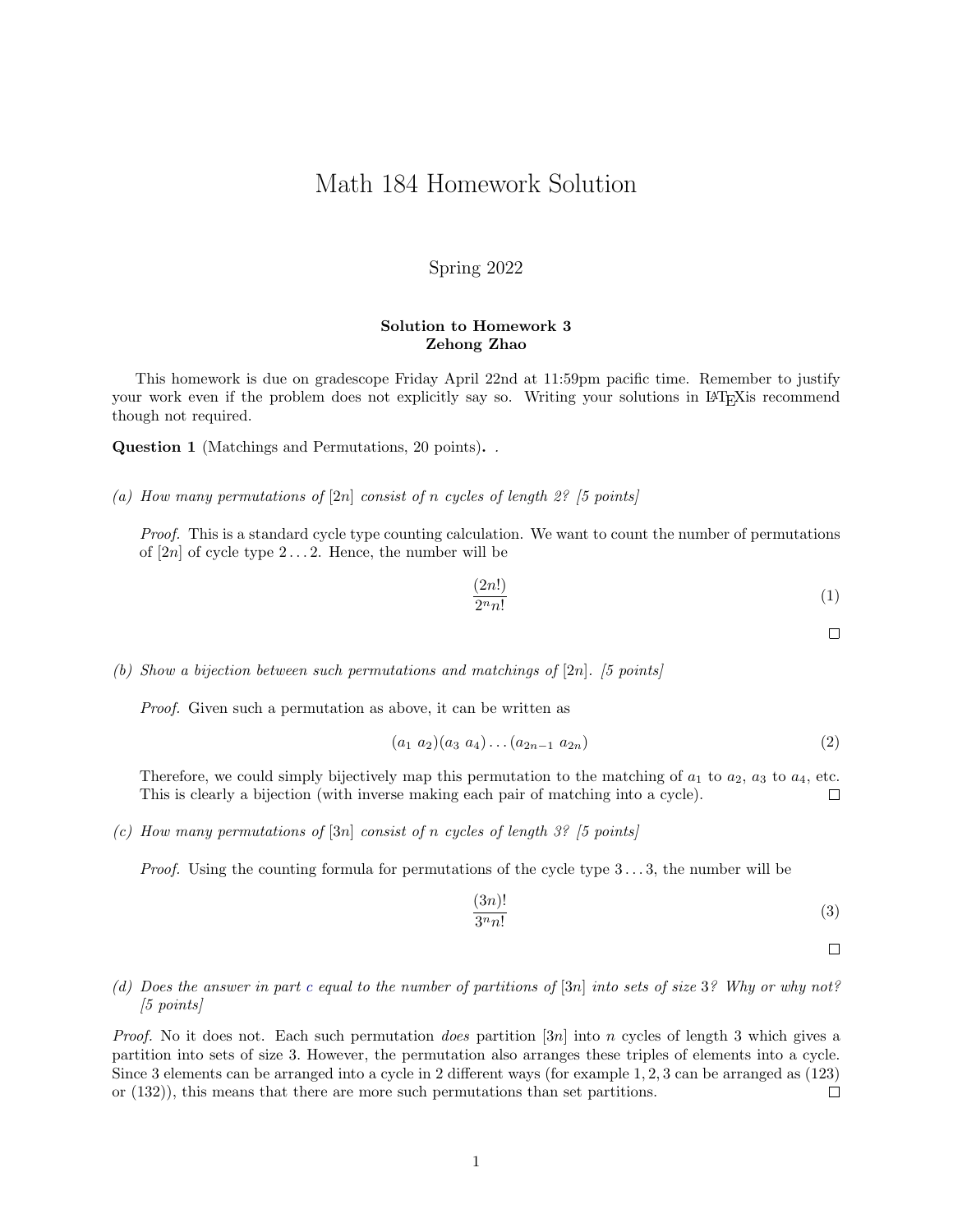## Math 184 Homework Solution

### Spring 2022

#### Solution to Homework 3 Zehong Zhao

This homework is due on gradescope Friday April 22nd at 11:59pm pacific time. Remember to justify your work even if the problem does not explicitly say so. Writing your solutions in LATEX is recommend though not required.

Question 1 (Matchings and Permutations, 20 points). .

(a) How many permutations of  $[2n]$  consist of n cycles of length 2? [5 points]

Proof. This is a standard cycle type counting calculation. We want to count the number of permutations of  $[2n]$  of cycle type  $2 \ldots 2$ . Hence, the number will be

$$
\frac{(2n!)}{2^n n!} \tag{1}
$$

 $\Box$ 

(b) Show a bijection between such permutations and matchings of  $[2n]$ . [5 points]

Proof. Given such a permutation as above, it can be written as

$$
(a_1 \ a_2)(a_3 \ a_4)\dots(a_{2n-1} \ a_{2n}) \tag{2}
$$

Therefore, we could simply bijectively map this permutation to the matching of  $a_1$  to  $a_2$ ,  $a_3$  to  $a_4$ , etc. This is clearly a bijection (with inverse making each pair of matching into a cycle).  $\Box$ 

<span id="page-0-0"></span>(c) How many permutations of  $[3n]$  consist of n cycles of length 3? [5 points]

*Proof.* Using the counting formula for permutations of the cycle type  $3 \dots 3$ , the number will be

$$
\frac{(3n)!}{3^n n!} \tag{3}
$$

 $\Box$ 

#### (d) Does the answer in part [c](#page-0-0) equal to the number of partitions of [3n] into sets of size 3? Why or why not? [5 points]

*Proof.* No it does not. Each such permutation *does* partition [3n] into n cycles of length 3 which gives a partition into sets of size 3. However, the permutation also arranges these triples of elements into a cycle. Since 3 elements can be arranged into a cycle in 2 different ways (for example 1, 2, 3 can be arranged as (123) or (132)), this means that there are more such permutations than set partitions.  $\Box$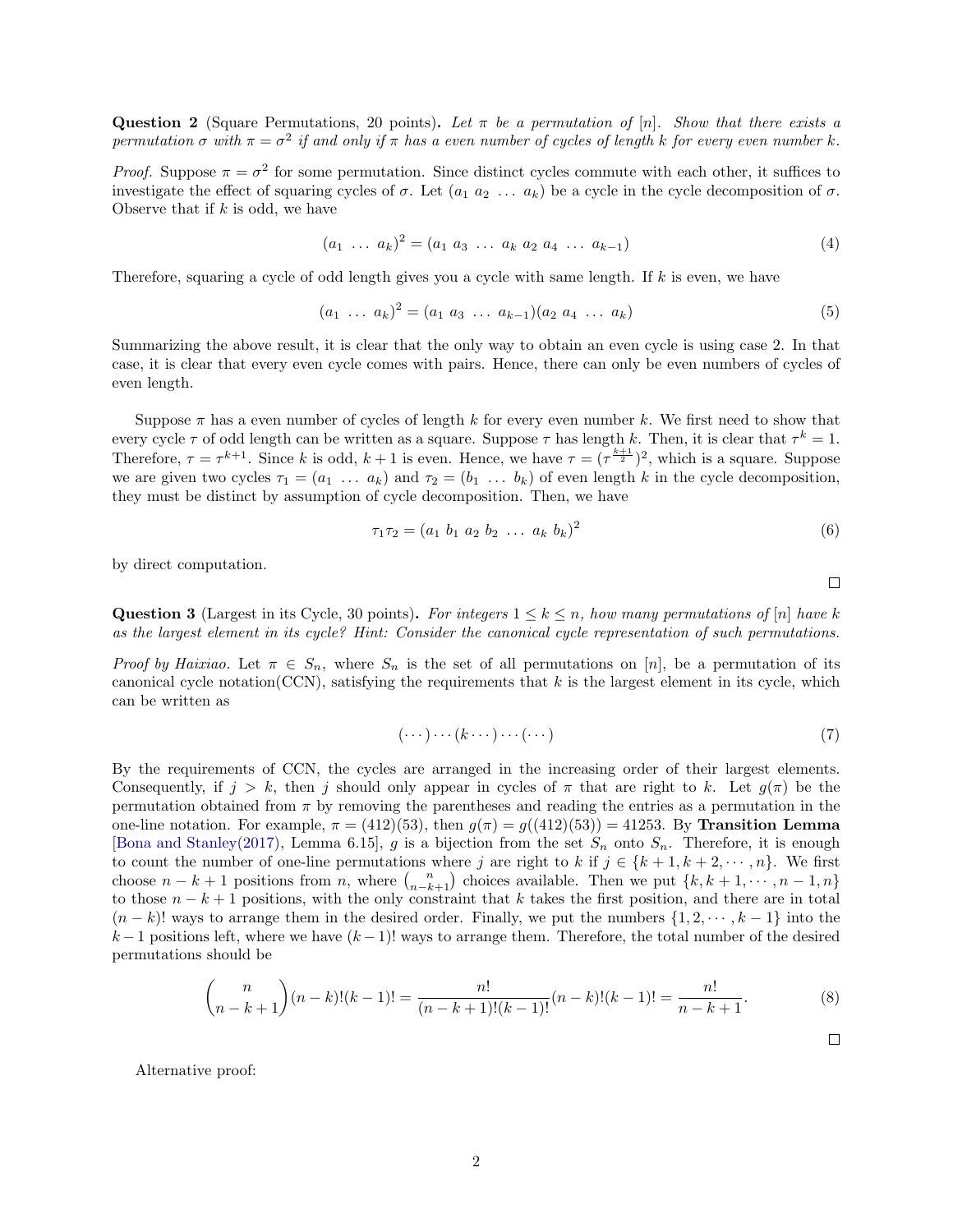Question 2 (Square Permutations, 20 points). Let  $\pi$  be a permutation of [n]. Show that there exists a permutation  $\sigma$  with  $\pi = \sigma^2$  if and only if  $\pi$  has a even number of cycles of length k for every even number k.

*Proof.* Suppose  $\pi = \sigma^2$  for some permutation. Since distinct cycles commute with each other, it suffices to investigate the effect of squaring cycles of  $\sigma$ . Let  $(a_1 \ a_2 \ \ldots \ a_k)$  be a cycle in the cycle decomposition of  $\sigma$ . Observe that if  $k$  is odd, we have

$$
(a_1 \ldots a_k)^2 = (a_1 \ a_3 \ \ldots \ a_k \ a_2 \ a_4 \ \ldots \ a_{k-1}) \tag{4}
$$

Therefore, squaring a cycle of odd length gives you a cycle with same length. If  $k$  is even, we have

$$
(a_1 \ldots a_k)^2 = (a_1 \ a_3 \ \ldots \ a_{k-1})(a_2 \ a_4 \ \ldots \ a_k) \tag{5}
$$

Summarizing the above result, it is clear that the only way to obtain an even cycle is using case 2. In that case, it is clear that every even cycle comes with pairs. Hence, there can only be even numbers of cycles of even length.

Suppose  $\pi$  has a even number of cycles of length k for every even number k. We first need to show that every cycle  $\tau$  of odd length can be written as a square. Suppose  $\tau$  has length k. Then, it is clear that  $\tau^k = 1$ . Therefore,  $\tau = \tau^{k+1}$ . Since k is odd,  $k+1$  is even. Hence, we have  $\tau = (\tau^{\frac{k+1}{2}})^2$ , which is a square. Suppose we are given two cycles  $\tau_1 = (a_1 \ldots a_k)$  and  $\tau_2 = (b_1 \ldots b_k)$  of even length k in the cycle decomposition, they must be distinct by assumption of cycle decomposition. Then, we have

$$
\tau_1 \tau_2 = (a_1 \ b_1 \ a_2 \ b_2 \ \dots \ a_k \ b_k)^2 \tag{6}
$$

by direct computation.

Question 3 (Largest in its Cycle, 30 points). For integers  $1 \leq k \leq n$ , how many permutations of  $[n]$  have k as the largest element in its cycle? Hint: Consider the canonical cycle representation of such permutations.

Proof by Haixiao. Let  $\pi \in S_n$ , where  $S_n$  is the set of all permutations on [n], be a permutation of its canonical cycle notation(CCN), satisfying the requirements that  $k$  is the largest element in its cycle, which can be written as

$$
(\cdots)\cdots(k\cdots)\cdots(\cdots)
$$
 (7)

By the requirements of CCN, the cycles are arranged in the increasing order of their largest elements. Consequently, if  $j > k$ , then j should only appear in cycles of  $\pi$  that are right to k. Let  $g(\pi)$  be the permutation obtained from  $\pi$  by removing the parentheses and reading the entries as a permutation in the one-line notation. For example,  $\pi = (412)(53)$ , then  $q(\pi) = q((412)(53)) = 41253$ . By **Transition Lemma** [\[Bona and Stanley\(2017\),](#page-3-0) Lemma 6.15], g is a bijection from the set  $S_n$  onto  $S_n$ . Therefore, it is enough to count the number of one-line permutations where j are right to k if  $j \in \{k+1, k+2, \dots, n\}$ . We first choose  $n - k + 1$  positions from n, where  $\binom{n}{n-k+1}$  choices available. Then we put  $\{k, k + 1, \cdots, n-1, n\}$ to those  $n - k + 1$  positions, with the only constraint that k takes the first position, and there are in total  $(n - k)!$  ways to arrange them in the desired order. Finally, we put the numbers  $\{1, 2, \dots, k-1\}$  into the  $k-1$  positions left, where we have  $(k-1)!$  ways to arrange them. Therefore, the total number of the desired permutations should be

$$
\binom{n}{n-k+1}(n-k)!(k-1)! = \frac{n!}{(n-k+1)!(k-1)!}(n-k)!(k-1)! = \frac{n!}{n-k+1}.
$$
\n(8)

Alternative proof:

$$
\Box
$$

 $\Box$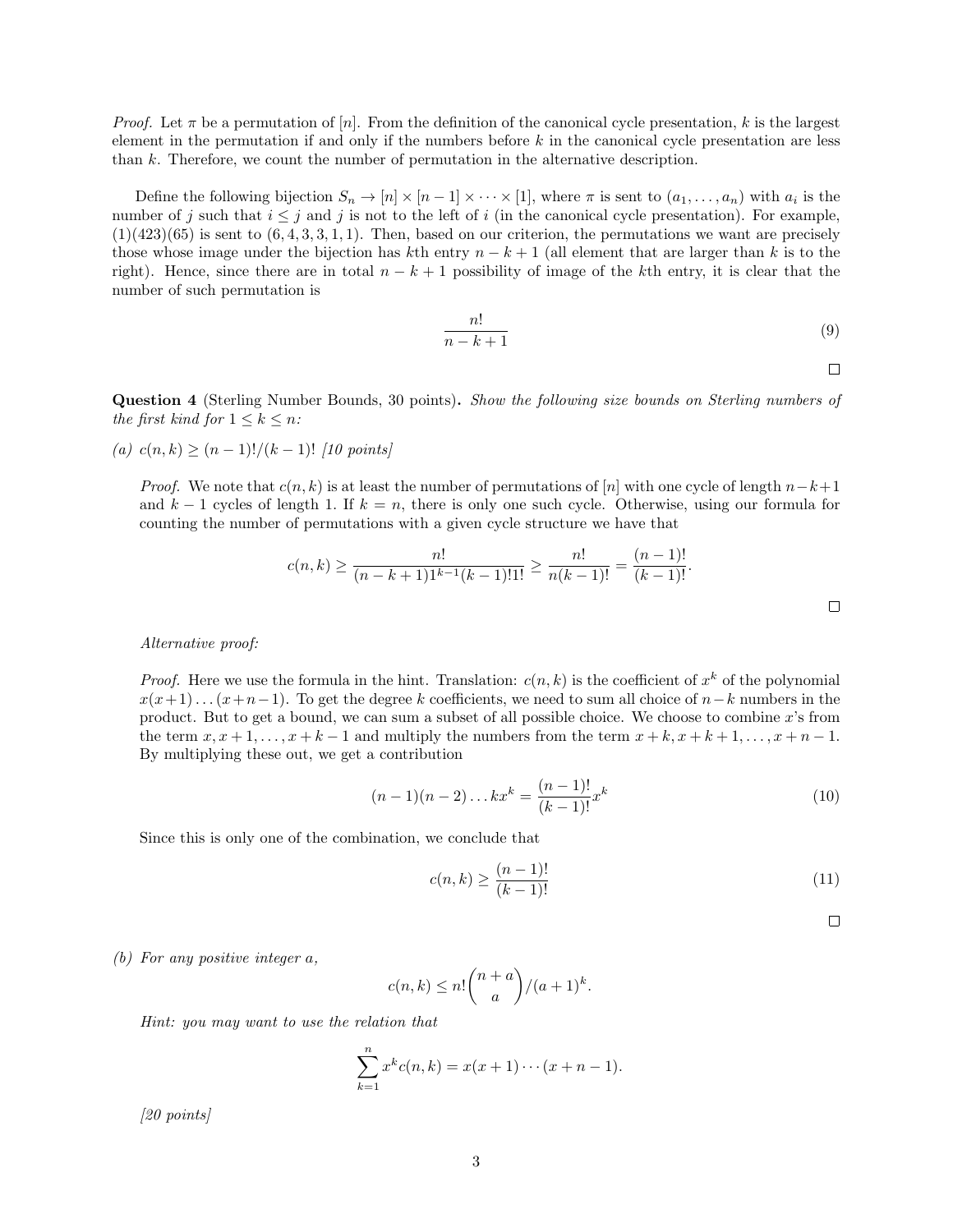*Proof.* Let  $\pi$  be a permutation of [n]. From the definition of the canonical cycle presentation, k is the largest element in the permutation if and only if the numbers before  $k$  in the canonical cycle presentation are less than k. Therefore, we count the number of permutation in the alternative description.

Define the following bijection  $S_n \to [n] \times [n-1] \times \cdots \times [1]$ , where  $\pi$  is sent to  $(a_1, \ldots, a_n)$  with  $a_i$  is the number of j such that  $i \leq j$  and j is not to the left of i (in the canonical cycle presentation). For example,  $(1)(423)(65)$  is sent to  $(6, 4, 3, 3, 1, 1)$ . Then, based on our criterion, the permutations we want are precisely those whose image under the bijection has kth entry  $n - k + 1$  (all element that are larger than k is to the right). Hence, since there are in total  $n - k + 1$  possibility of image of the kth entry, it is clear that the number of such permutation is

$$
\frac{n!}{n-k+1} \tag{9}
$$

 $\Box$ 

Question 4 (Sterling Number Bounds, 30 points). Show the following size bounds on Sterling numbers of the first kind for  $1 \leq k \leq n$ :

(a)  $c(n, k) > (n-1)!/(k-1)!$  [10 points]

*Proof.* We note that  $c(n, k)$  is at least the number of permutations of [n] with one cycle of length  $n-k+1$ and k − 1 cycles of length 1. If  $k = n$ , there is only one such cycle. Otherwise, using our formula for counting the number of permutations with a given cycle structure we have that

$$
c(n,k) \ge \frac{n!}{(n-k+1)1^{k-1}(k-1)!1!} \ge \frac{n!}{n(k-1)!} = \frac{(n-1)!}{(k-1)!}.
$$

#### Alternative proof:

*Proof.* Here we use the formula in the hint. Translation:  $c(n, k)$  is the coefficient of  $x<sup>k</sup>$  of the polynomial  $x(x+1)...(x+n-1)$ . To get the degree k coefficients, we need to sum all choice of  $n-k$  numbers in the product. But to get a bound, we can sum a subset of all possible choice. We choose to combine x's from the term  $x, x + 1, \ldots, x + k - 1$  and multiply the numbers from the term  $x + k, x + k + 1, \ldots, x + n - 1$ . By multiplying these out, we get a contribution

$$
(n-1)(n-2)\dots kx^{k} = \frac{(n-1)!}{(k-1)!}x^{k}
$$
\n(10)

Since this is only one of the combination, we conclude that

$$
c(n,k) \ge \frac{(n-1)!}{(k-1)!} \tag{11}
$$

 $\Box$ 

(b) For any positive integer a,

$$
c(n,k) \le n! \binom{n+a}{a} / (a+1)^k.
$$

Hint: you may want to use the relation that

$$
\sum_{k=1}^{n} x^{k} c(n,k) = x(x+1)\cdots(x+n-1).
$$

[20 points]